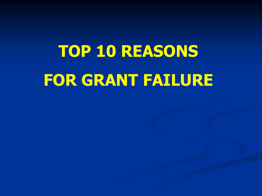# **TOP 10 REASONS FOR GRANT FAILURE**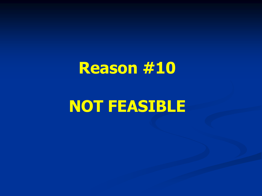# **NOT FEASIBLE**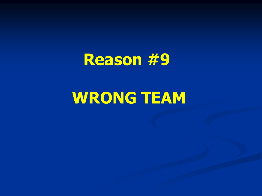#### **WRONG TEAM**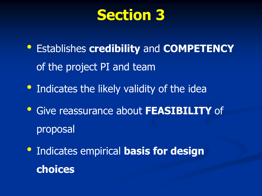#### **Section 3**

- Establishes **credibility** and **COMPETENCY** of the project PI and team
- Indicates the likely validity of the idea
- Give reassurance about **FEASIBILITY** of proposal
- Indicates empirical **basis for design choices**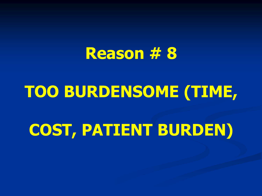# **TOO BURDENSOME (TIME, COST, PATIENT BURDEN)**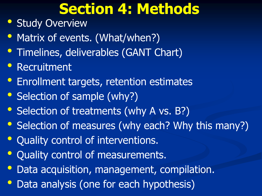#### **Section 4: Methods**

- Study Overview
- Matrix of events. (What/when?)
- Timelines, deliverables (GANT Chart)
- Recruitment
- Enrollment targets, retention estimates
- Selection of sample (why?)
- Selection of treatments (why A vs. B?)
- Selection of measures (why each? Why this many?)
- Quality control of interventions.
- Quality control of measurements.
- Data acquisition, management, compilation.
- Data analysis (one for each hypothesis)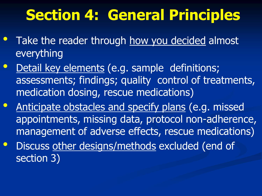# **Section 4: General Principles**

- Take the reader through how you decided almost everything
- Detail key elements (e.g. sample definitions; assessments; findings; quality control of treatments, medication dosing, rescue medications)
- Anticipate obstacles and specify plans (e.g. missed appointments, missing data, protocol non-adherence, management of adverse effects, rescue medications)
- Discuss other designs/methods excluded (end of section 3)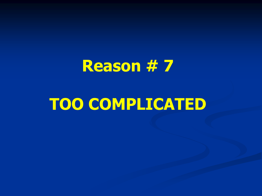#### **TOO COMPLICATED**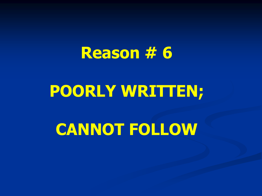# **POORLY WRITTEN;**

**CANNOT FOLLOW**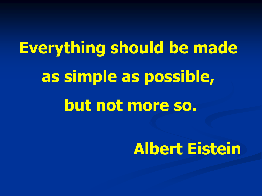**Everything should be made as simple as possible, but not more so.**

#### **Albert Eistein**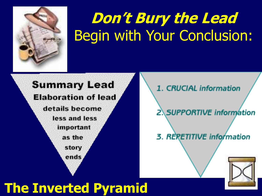

# **Don't Bury the Lead** Begin with Your Conclusion:



1. CRUCIAL information

2. SUPPORTIVE information

3. RERETITIVE information



#### **The Inverted Pyramid**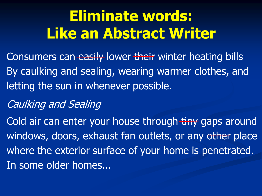# **Eliminate words: Like an Abstract Writer**

- Consumers can easily lower their winter heating bills By caulking and sealing, wearing warmer clothes, and letting the sun in whenever possible.
- Caulking and Sealing
- Cold air can enter your house through tiny gaps around windows, doors, exhaust fan outlets, or any other place where the exterior surface of your home is penetrated. In some older homes...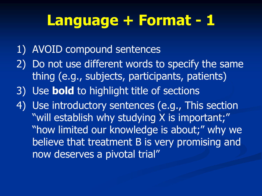#### **Language + Format - 1**

- 1) AVOID compound sentences
- 2) Do not use different words to specify the same thing (e.g., subjects, participants, patients)
- 3) Use **bold** to highlight title of sections
- 4) Use introductory sentences (e.g., This section "will establish why studying X is important;" "how limited our knowledge is about;" why we believe that treatment B is very promising and now deserves a pivotal trial"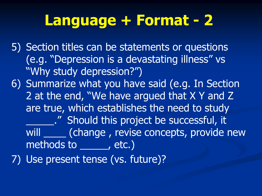#### **Language + Format - 2**

5) Section titles can be statements or questions (e.g. "Depression is a devastating illness" vs "Why study depression?")

- 6) Summarize what you have said (e.g. In Section 2 at the end, "We have argued that X Y and Z are true, which establishes the need to study \_\_\_\_\_." Should this project be successful, it will (change, revise concepts, provide new methods to \_\_\_\_, etc.)
- 7) Use present tense (vs. future)?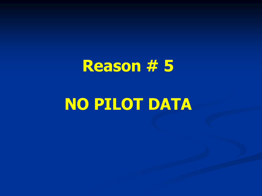# **NO PILOT DATA**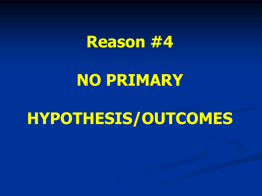# **NO PRIMARY**

# **HYPOTHESIS/OUTCOMES**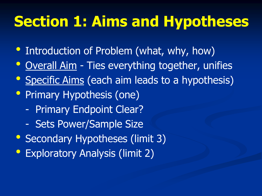## **Section 1: Aims and Hypotheses**

- Introduction of Problem (what, why, how)
- Overall Aim Ties everything together, unifies
- Specific Aims (each aim leads to a hypothesis)
- Primary Hypothesis (one)
	- Primary Endpoint Clear?
	- Sets Power/Sample Size
- Secondary Hypotheses (limit 3)
- Exploratory Analysis (limit 2)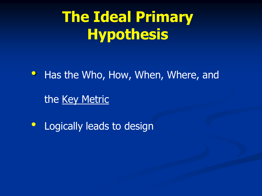# **The Ideal Primary Hypothesis**

• Has the Who, How, When, Where, and the Key Metric

• Logically leads to design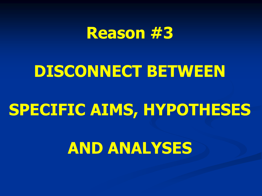

#### **DISCONNECT BETWEEN**

# **SPECIFIC AIMS, HYPOTHESES**

# **AND ANALYSES**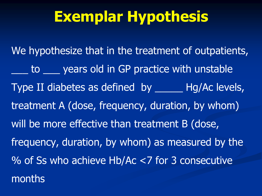#### **Exemplar Hypothesis**

We hypothesize that in the treatment of outpatients, \_\_\_ to \_\_\_ years old in GP practice with unstable Type II diabetes as defined by \_\_\_\_\_ Hg/Ac levels, treatment A (dose, frequency, duration, by whom) will be more effective than treatment B (dose, frequency, duration, by whom) as measured by the % of Ss who achieve Hb/Ac <7 for 3 consecutive months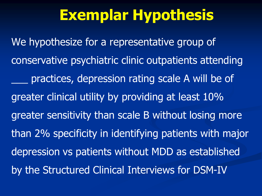#### **Exemplar Hypothesis**

We hypothesize for a representative group of conservative psychiatric clinic outpatients attending practices, depression rating scale A will be of greater clinical utility by providing at least 10% greater sensitivity than scale B without losing more than 2% specificity in identifying patients with major depression vs patients without MDD as established by the Structured Clinical Interviews for DSM-IV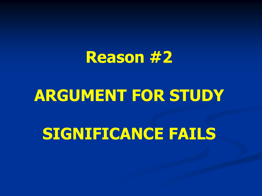# **ARGUMENT FOR STUDY**

# **SIGNIFICANCE FAILS**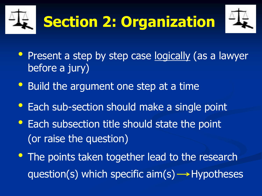



- Present a step by step case logically (as a lawyer before a jury)
- Build the argument one step at a time
- Each sub-section should make a single point
- Each subsection title should state the point (or raise the question)
- The points taken together lead to the research  $question(s)$  which specific  $aim(s) \rightarrow Hypotheses$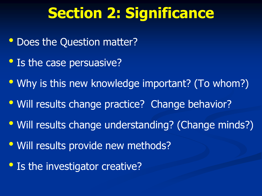# **Section 2: Significance**

- Does the Question matter?
- Is the case persuasive?
- Why is this new knowledge important? (To whom?)
- Will results change practice? Change behavior?
- Will results change understanding? (Change minds?)
- Will results provide new methods?
- Is the investigator creative?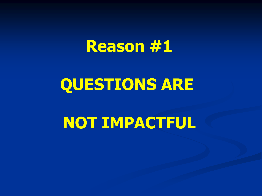# **QUESTIONS ARE**

### **NOT IMPACTFUL**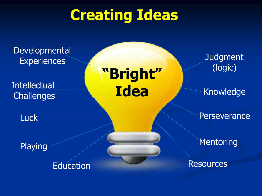# **Creating Ideas**

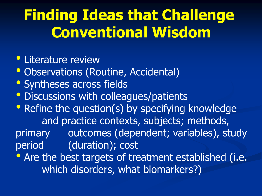# **Finding Ideas that Challenge Conventional Wisdom**

- Literature review
- Observations (Routine, Accidental)
- Syntheses across fields
- Discussions with colleagues/patients
- Refine the question(s) by specifying knowledge and practice contexts, subjects; methods, primary outcomes (dependent; variables), study period (duration); cost
- Are the best targets of treatment established (i.e. which disorders, what biomarkers?)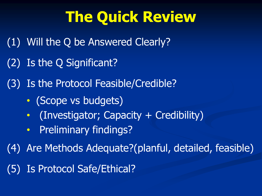# **The Quick Review**

- (1) Will the Q be Answered Clearly?
- (2) Is the Q Significant?
- (3) Is the Protocol Feasible/Credible?
	- (Scope vs budgets)
	- (Investigator; Capacity + Credibility)
	- Preliminary findings?

(4) Are Methods Adequate?(planful, detailed, feasible)

(5) Is Protocol Safe/Ethical?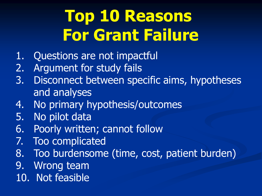# **Top 10 Reasons For Grant Failure**

- 1. Questions are not impactful
- 2. Argument for study fails
- 3. Disconnect between specific aims, hypotheses and analyses
- 4. No primary hypothesis/outcomes
- 5. No pilot data
- 6. Poorly written; cannot follow
- 7. Too complicated
- 8. Too burdensome (time, cost, patient burden)
- 9. Wrong team
- 10. Not feasible